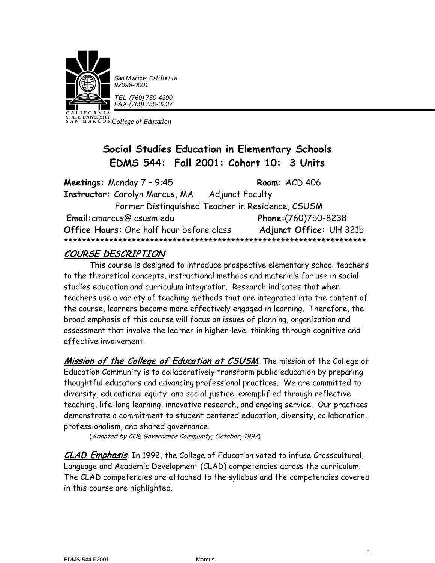

*San M arcos, California 92096-0001*

*TEL (760) 750-4300 FAX (760) 750-3237*

*College of Education*

# **Social Studies Education in Elementary Schools EDMS 544: Fall 2001: Cohort 10: 3 Units**

| Meetings: Monday $7 - 9:45$                      | Room: ACD 406           |  |  |  |
|--------------------------------------------------|-------------------------|--|--|--|
| Instructor: Carolyn Marcus, MA                   | <b>Adjunct Faculty</b>  |  |  |  |
| Former Distinguished Teacher in Residence, CSUSM |                         |  |  |  |
| Email: cmarcus@.csusm.edu                        | Phone: (760) 750-8238   |  |  |  |
| Office Hours: One half hour before class         | Adjunct Office: UH 321b |  |  |  |
|                                                  |                         |  |  |  |

# COURSE DESCRIPTION

This course is designed to introduce prospective elementary school teachers to the theoretical concepts, instructional methods and materials for use in social studies education and curriculum integration. Research indicates that when teachers use a variety of teaching methods that are integrated into the content of the course, learners become more effectively engaged in learning. Therefore, the broad emphasis of this course will focus on issues of planning, organization and assessment that involve the learner in higher-level thinking through cognitive and affective involvement.

Mission of the College of Education at CSUSM. The mission of the College of Education Community is to collaboratively transform public education by preparing thoughtful educators and advancing professional practices. We are committed to diversity, educational equity, and social justice, exemplified through reflective teaching, life-long learning, innovative research, and ongoing service. Our practices demonstrate a commitment to student centered education, diversity, collaboration, professionalism, and shared governance.

(Adopted by COE Governance Community, October, 1997)

CLAD Emphasis. In 1992, the College of Education voted to infuse Crosscultural, Language and Academic Development (CLAD) competencies across the curriculum. The CLAD competencies are attached to the syllabus and the competencies covered in this course are highlighted.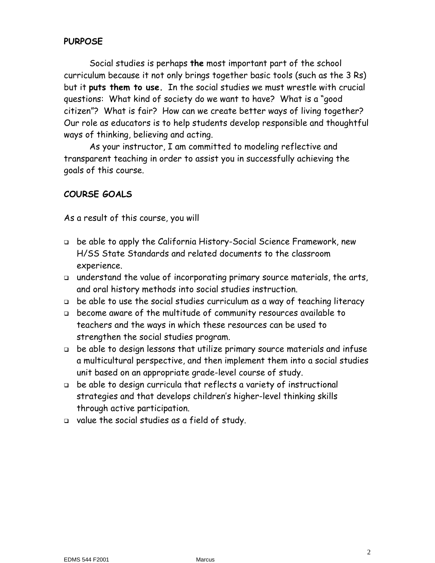## **PURPOSE**

Social studies is perhaps **the** most important part of the school curriculum because it not only brings together basic tools (such as the 3 Rs) but it **puts them to use.** In the social studies we must wrestle with crucial questions: What kind of society do we want to have? What is a "good citizen"? What is fair? How can we create better ways of living together? Our role as educators is to help students develop responsible and thoughtful ways of thinking, believing and acting.

As your instructor, I am committed to modeling reflective and transparent teaching in order to assist you in successfully achieving the goals of this course.

### **COURSE GOALS**

As a result of this course, you will

- be able to apply the California History-Social Science Framework, new H/SS State Standards and related documents to the classroom experience.
- understand the value of incorporating primary source materials, the arts, and oral history methods into social studies instruction.
- be able to use the social studies curriculum as a way of teaching literacy
- become aware of the multitude of community resources available to teachers and the ways in which these resources can be used to strengthen the social studies program.
- be able to design lessons that utilize primary source materials and infuse a multicultural perspective, and then implement them into a social studies unit based on an appropriate grade-level course of study.
- be able to design curricula that reflects a variety of instructional strategies and that develops children's higher-level thinking skills through active participation.
- value the social studies as a field of study.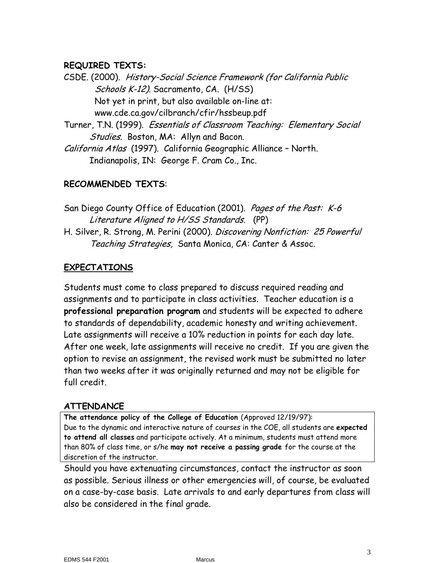### **REQUIRED TEXTS:**

CSDE. (2000). History-Social Science Framework (for California Public Schools K-12). Sacramento, CA. (H/SS) Not yet in print, but also available on-line at: www.cde.ca.gov/cilbranch/cfir/hssbeup.pdf

Turner, T.N. (1999). Essentials of Classroom Teaching: Elementary Social Studies. Boston, MA: Allyn and Bacon.

California Atlas (1997). California Geographic Alliance – North. Indianapolis, IN: George F. Cram Co., Inc.

# **RECOMMENDED TEXTS**:

San Diego County Office of Education (2001). Pages of the Past: K-6 Literature Aligned to H/SS Standards. (PP) H. Silver, R. Strong, M. Perini (2000). Discovering Nonfiction: 25 Powerful Teaching Strategies, Santa Monica, CA: Canter & Assoc.

# **EXPECTATIONS**

Students must come to class prepared to discuss required reading and assignments and to participate in class activities. Teacher education is a **professional preparation program** and students will be expected to adhere to standards of dependability, academic honesty and writing achievement. Late assignments will receive a 10% reduction in points for each day late. After one week, late assignments will receive no credit. If you are given the option to revise an assignment, the revised work must be submitted no later than two weeks after it was originally returned and may not be eligible for full credit.

# **ATTENDANCE**

**The attendance policy of the College of Education** (Approved 12/19/97): Due to the dynamic and interactive nature of courses in the COE, all students are **expected to attend all classes** and participate actively. At a minimum, students must attend more than 80% of class time, or s/he **may not receive a passing grade** for the course at the discretion of the instructor.

Should you have extenuating circumstances, contact the instructor as soon as possible. Serious illness or other emergencies will, of course, be evaluated on a case-by-case basis. Late arrivals to and early departures from class will also be considered in the final grade.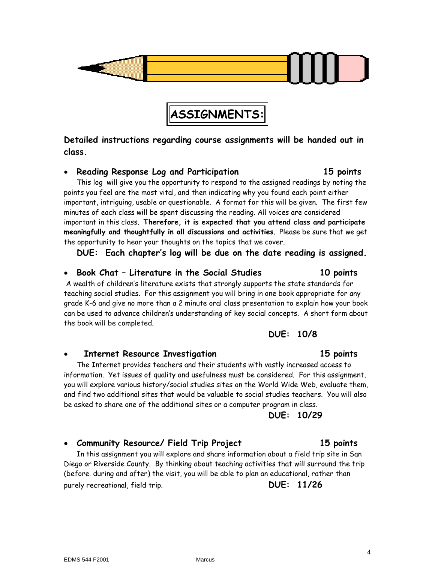**class.**

• **Community Resource/ Field Trip Project 15 points** In this assignment you will explore and share information about a field trip site in San Diego or Riverside County. By thinking about teaching activities that will surround the trip (before. during and after) the visit, you will be able to plan an educational, rather than

The Internet provides teachers and their students with vastly increased access to information. Yet issues of quality and usefulness must be considered. For this assignment, you will explore various history/social studies sites on the World Wide Web, evaluate them, and find two additional sites that would be valuable to social studies teachers. You will also be asked to share one of the additional sites or a computer program in class.

### • **Internet Resource Investigation 15 points**

the book will be completed.

This log will give you the opportunity to respond to the assigned readings by noting the points you feel are the most vital, and then indicating why you found each point either important, intriguing, usable or questionable. A format for this will be given. The first few minutes of each class will be spent discussing the reading. All voices are considered important in this class. **Therefore, it is expected that you attend class and participate meaningfully and thoughtfully in all discussions and activities**. Please be sure that we get the opportunity to hear your thoughts on the topics that we cover.

• **Reading Response Log and Participation 15 points**

**DUE: Each chapter's log will be due on the date reading is assigned.** 

# • **Book Chat – Literature in the Social Studies 10 points**

A wealth of children's literature exists that strongly supports the state standards for teaching social studies. For this assignment you will bring in one book appropriate for any grade K-6 and give no more than a 2 minute oral class presentation to explain how your book can be used to advance children's understanding of key social concepts. A short form about

**DUE: 10/8**

# **DUE: 10/29**

purely recreational, field trip. **DUE: 11/26**

#### 4

# **Detailed instructions regarding course assignments will be handed out in**

**ASSIGNMENTS:**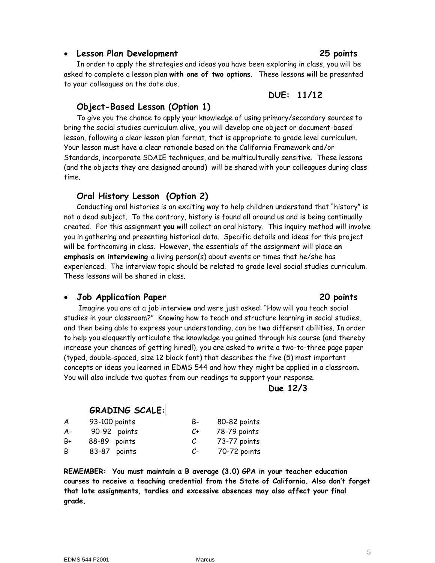#### • **Lesson Plan Development 25 points**

In order to apply the strategies and ideas you have been exploring in class, you will be asked to complete a lesson plan **with one of two options**. These lessons will be presented to your colleagues on the date due.

### **DUE: 11/12**

### **Object-Based Lesson (Option 1)**

To give you the chance to apply your knowledge of using primary/secondary sources to bring the social studies curriculum alive, you will develop one object or document-based lesson, following a clear lesson plan format, that is appropriate to grade level curriculum. Your lesson must have a clear rationale based on the California Framework and/or Standards, incorporate SDAIE techniques, and be multiculturally sensitive. These lessons (and the objects they are designed around) will be shared with your colleagues during class time.

### **Oral History Lesson (Option 2)**

Conducting oral histories is an exciting way to help children understand that "history" is not a dead subject. To the contrary, history is found all around us and is being continually created. For this assignment **you** will collect an oral history. This inquiry method will involve you in gathering and presenting historical data. Specific details and ideas for this project will be forthcoming in class. However, the essentials of the assignment will place **an emphasis on interviewing** a living person(s) about events or times that he/she has experienced. The interview topic should be related to grade level social studies curriculum. These lessons will be shared in class.

### • **Job Application Paper 20 points**

 Imagine you are at a job interview and were just asked: "How will you teach social studies in your classroom?" Knowing how to teach and structure learning in social studies, and then being able to express your understanding, can be two different abilities. In order to help you eloquently articulate the knowledge you gained through his course (and thereby increase your chances of getting hired!), you are asked to write a two-to-three page paper (typed, double-spaced, size 12 block font) that describes the five (5) most important concepts or ideas you learned in EDMS 544 and how they might be applied in a classroom. You will also include two quotes from our readings to support your response.

### **Due 12/3**

| <b>GRADING SCALE:</b> |               |      |              |
|-----------------------|---------------|------|--------------|
| A                     | 93-100 points | B-   | 80-82 points |
| A-                    | 90-92 points  | C+   | 78-79 points |
| В÷                    | 88-89 points  | С    | 73-77 points |
| B                     | 83-87 points  | $C-$ | 70-72 points |

**REMEMBER: You must maintain a B average (3.0) GPA in your teacher education courses to receive a teaching credential from the State of California. Also don't forget that late assignments, tardies and excessive absences may also affect your final grade.**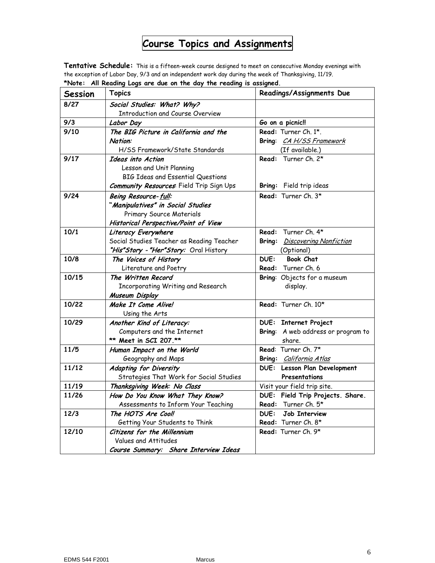# **Course Topics and Assignments**

**Tentative Schedule:** This is a fifteen-week course designed to meet on consecutive Monday evenings with the exception of Labor Day, 9/3 and an independent work day during the week of Thanksgiving, 11/19. **\*Note: All Reading Logs are due on the day the reading is assigned.**

| <b>Session</b> | <b>Topics</b>                                    | Readings/Assignments Due           |
|----------------|--------------------------------------------------|------------------------------------|
| 8/27           | Social Studies: What? Why?                       |                                    |
|                | <b>Introduction and Course Overview</b>          |                                    |
| 9/3            | Labor Day                                        | Go on a picnic!!                   |
| 9/10           | The BIG Picture in California and the            | Read: Turner Ch. 1*.               |
|                | Nation:                                          | Bring: CA H/SS Framework           |
|                | H/SS Framework/State Standards                   | (If available.)                    |
| 9/17           | Ideas into Action                                | Read: Turner Ch. 2*                |
|                | Lesson and Unit Planning                         |                                    |
|                | <b>BIG Ideas and Essential Questions</b>         |                                    |
|                | <b>Community Resources</b> : Field Trip Sign Ups | Bring: Field trip ideas            |
| 9/24           | Being Resource-full:                             | Read: Turner Ch. 3*                |
|                | "Manipulatives" in Social Studies                |                                    |
|                | Primary Source Materials                         |                                    |
|                | Historical Perspective/Point of View             |                                    |
| 10/1           | Literacy Everywhere                              | Read: Turner Ch. 4*                |
|                | Social Studies Teacher as Reading Teacher        | Bring: Discovering Nonfiction      |
|                | "His"Story - "Her"Story: Oral History            | (Optional)                         |
| 10/8           | The Voices of History                            | <b>DUE:</b><br><b>Book Chat</b>    |
|                | Literature and Poetry                            | <b>Read:</b> Turner Ch. 6          |
| 10/15          | The Written Record                               | Bring: Objects for a museum        |
|                | Incorporating Writing and Research               | display.                           |
|                | Museum Display                                   |                                    |
| 10/22          | Make It Come Alive!                              | Read: Turner Ch. 10*               |
|                | Using the Arts                                   |                                    |
| 10/29          | Another Kind of Literacy:                        | <b>DUE: Internet Project</b>       |
|                | Computers and the Internet                       | Bring: A web address or program to |
|                | ** Meet in SCI 207.**                            | share.                             |
| 11/5           | Human Impact on the World                        | Read: Turner Ch. 7*                |
|                | Geography and Maps                               | Bring: California Atlas            |
| 11/12          | Adapting for Diversity                           | DUE: Lesson Plan Development       |
|                | Strategies That Work for Social Studies          | Presentations                      |
| 11/19          | Thanksgiving Week: No Class                      | Visit your field trip site.        |
| 11/26          | How Do You Know What They Know?                  | DUE: Field Trip Projects. Share.   |
|                | Assessments to Inform Your Teaching              | Read: Turner Ch. 5*                |
| 12/3           | The HOTS Are Cool!                               | DUE:<br><b>Job Interview</b>       |
|                | Getting Your Students to Think                   | Read: Turner Ch. 8*                |
| 12/10          | Citizens for the Millennium                      | Read: Turner Ch. 9*                |
|                | Values and Attitudes                             |                                    |
|                | Course Summary: Share Interview Ideas            |                                    |